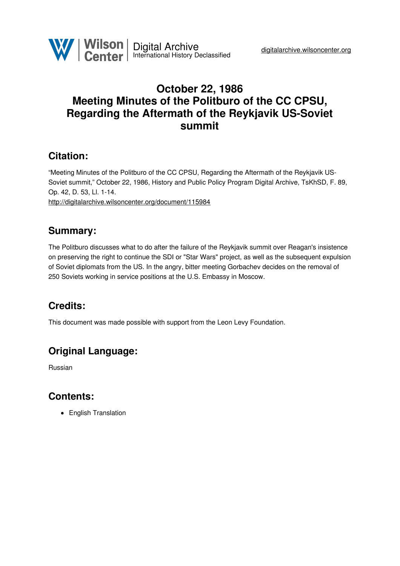

## **October 22, 1986 Meeting Minutes of the Politburo of the CC CPSU, Regarding the Aftermath of the Reykjavik US-Soviet summit**

### **Citation:**

"Meeting Minutes of the Politburo of the CC CPSU, Regarding the Aftermath of the Reykjavik US-Soviet summit," October 22, 1986, History and Public Policy Program Digital Archive, TsKhSD, F. 89, Op. 42, D. 53, Ll. 1-14. <http://digitalarchive.wilsoncenter.org/document/115984>

## **Summary:**

The Politburo discusses what to do after the failure of the Reykjavik summit over Reagan's insistence on preserving the right to continue the SDI or "Star Wars" project, as well as the subsequent expulsion of Soviet diplomats from the US. In the angry, bitter meeting Gorbachev decides on the removal of 250 Soviets working in service positions at the U.S. Embassy in Moscow.

# **Credits:**

This document was made possible with support from the Leon Levy Foundation.

# **Original Language:**

Russian

### **Contents:**

• English Translation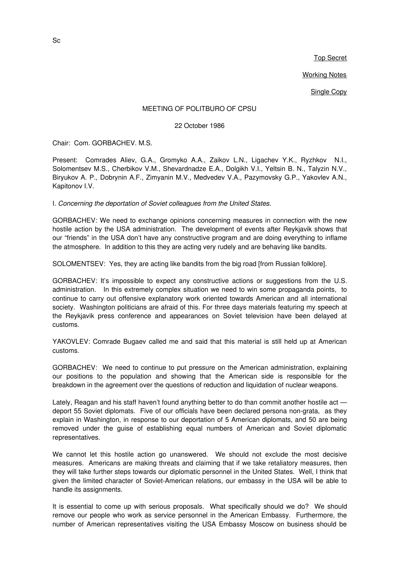Top Secret

Working Notes

**Single Copy** 

#### MEETING OF POLITBURO OF CPSU

22 October 1986

Chair: Com. GORBACHEV. M.S.

Present: Comrades Aliev, G.A., Gromyko A.A., Zaikov L.N., Ligachev Y.K., Ryzhkov N.I., Solomentsev M.S., Cherbikov V.M., Shevardnadze E.A., Dolgikh V.I., Yeltsin B. N., Talyzin N.V., Biryukov A. P., Dobrynin A.F., Zimyanin M.V., Medvedev V.A., Pazymovsky G.P., Yakovlev A.N., Kapitonov I.V.

I. *Concerning the deportation of Soviet colleagues from the United States.*

GORBACHEV: We need to exchange opinions concerning measures in connection with the new hostile action by the USA administration. The development of events after Reykjavik shows that our "friends" in the USA don't have any constructive program and are doing everything to inflame the atmosphere. In addition to this they are acting very rudely and are behaving like bandits.

SOLOMENTSEV: Yes, they are acting like bandits from the big road [from Russian folklore].

GORBACHEV: It's impossible to expect any constructive actions or suggestions from the U.S. administration. In this extremely complex situation we need to win some propaganda points, to continue to carry out offensive explanatory work oriented towards American and all international society. Washington politicians are afraid of this. For three days materials featuring my speech at the Reykjavik press conference and appearances on Soviet television have been delayed at customs.

YAKOVLEV: Comrade Bugaev called me and said that this material is still held up at American customs.

GORBACHEV: We need to continue to put pressure on the American administration, explaining our positions to the population and showing that the American side is responsible for the breakdown in the agreement over the questions of reduction and liquidation of nuclear weapons.

Lately, Reagan and his staff haven't found anything better to do than commit another hostile act deport 55 Soviet diplomats. Five of our officials have been declared persona non-grata, as they explain in Washington, in response to our deportation of 5 American diplomats, and 50 are being removed under the guise of establishing equal numbers of American and Soviet diplomatic representatives.

We cannot let this hostile action go unanswered. We should not exclude the most decisive measures. Americans are making threats and claiming that if we take retaliatory measures, then they will take further steps towards our diplomatic personnel in the United States. Well, I think that given the limited character of Soviet-American relations, our embassy in the USA will be able to handle its assignments.

It is essential to come up with serious proposals. What specifically should we do? We should remove our people who work as service personnel in the American Embassy. Furthermore, the number of American representatives visiting the USA Embassy Moscow on business should be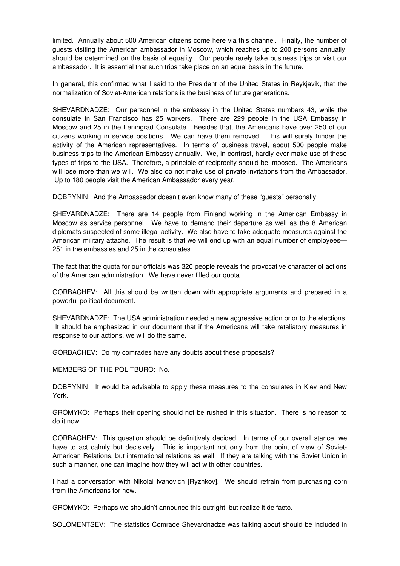limited. Annually about 500 American citizens come here via this channel. Finally, the number of guests visiting the American ambassador in Moscow, which reaches up to 200 persons annually, should be determined on the basis of equality. Our people rarely take business trips or visit our ambassador. It is essential that such trips take place on an equal basis in the future.

In general, this confirmed what I said to the President of the United States in Reykjavik, that the normalization of Soviet-American relations is the business of future generations.

SHEVARDNADZE: Our personnel in the embassy in the United States numbers 43, while the consulate in San Francisco has 25 workers. There are 229 people in the USA Embassy in Moscow and 25 in the Leningrad Consulate. Besides that, the Americans have over 250 of our citizens working in service positions. We can have them removed. This will surely hinder the activity of the American representatives. In terms of business travel, about 500 people make business trips to the American Embassy annually. We, in contrast, hardly ever make use of these types of trips to the USA. Therefore, a principle of reciprocity should be imposed. The Americans will lose more than we will. We also do not make use of private invitations from the Ambassador. Up to 180 people visit the American Ambassador every year.

DOBRYNIN: And the Ambassador doesn't even know many of these "guests" personally.

SHEVARDNADZE: There are 14 people from Finland working in the American Embassy in Moscow as service personnel. We have to demand their departure as well as the 8 American diplomats suspected of some illegal activity. We also have to take adequate measures against the American military attache. The result is that we will end up with an equal number of employees— 251 in the embassies and 25 in the consulates.

The fact that the quota for our officials was 320 people reveals the provocative character of actions of the American administration. We have never filled our quota.

GORBACHEV: All this should be written down with appropriate arguments and prepared in a powerful political document.

SHEVARDNADZE: The USA administration needed a new aggressive action prior to the elections. It should be emphasized in our document that if the Americans will take retaliatory measures in response to our actions, we will do the same.

GORBACHEV: Do my comrades have any doubts about these proposals?

MEMBERS OF THE POLITBURO: No.

DOBRYNIN: It would be advisable to apply these measures to the consulates in Kiev and New York.

GROMYKO: Perhaps their opening should not be rushed in this situation. There is no reason to do it now.

GORBACHEV: This question should be definitively decided. In terms of our overall stance, we have to act calmly but decisively. This is important not only from the point of view of Soviet-American Relations, but international relations as well. If they are talking with the Soviet Union in such a manner, one can imagine how they will act with other countries.

I had a conversation with Nikolai Ivanovich [Ryzhkov]. We should refrain from purchasing corn from the Americans for now.

GROMYKO: Perhaps we shouldn't announce this outright, but realize it de facto.

SOLOMENTSEV: The statistics Comrade Shevardnadze was talking about should be included in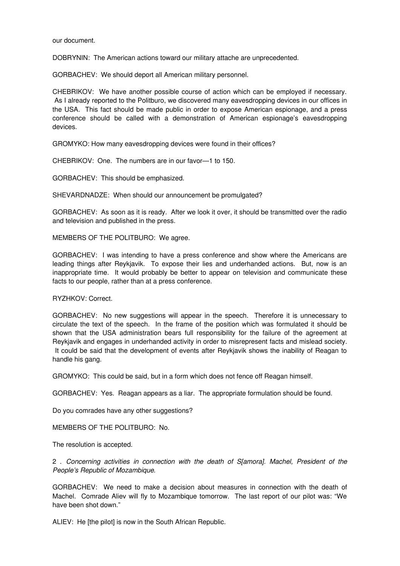our document.

DOBRYNIN: The American actions toward our military attache are unprecedented.

GORBACHEV: We should deport all American military personnel.

CHEBRIKOV: We have another possible course of action which can be employed if necessary. As I already reported to the Politburo, we discovered many eavesdropping devices in our offices in the USA. This fact should be made public in order to expose American espionage, and a press conference should be called with a demonstration of American espionage's eavesdropping devices.

GROMYKO: How many eavesdropping devices were found in their offices?

CHEBRIKOV: One. The numbers are in our favor—1 to 150.

GORBACHEV: This should be emphasized.

SHEVARDNADZE: When should our announcement be promulgated?

GORBACHEV: As soon as it is ready. After we look it over, it should be transmitted over the radio and television and published in the press.

MEMBERS OF THE POLITBURO: We agree.

GORBACHEV: I was intending to have a press conference and show where the Americans are leading things after Reykjavik. To expose their lies and underhanded actions. But, now is an inappropriate time. It would probably be better to appear on television and communicate these facts to our people, rather than at a press conference.

RYZHKOV: Correct.

GORBACHEV: No new suggestions will appear in the speech. Therefore it is unnecessary to circulate the text of the speech. In the frame of the position which was formulated it should be shown that the USA administration bears full responsibility for the failure of the agreement at Reykjavik and engages in underhanded activity in order to misrepresent facts and mislead society. It could be said that the development of events after Reykjavik shows the inability of Reagan to handle his gang.

GROMYKO: This could be said, but in a form which does not fence off Reagan himself.

GORBACHEV: Yes. Reagan appears as a liar. The appropriate formulation should be found.

Do you comrades have any other suggestions?

MEMBERS OF THE POLITBURO: No.

The resolution is accepted.

2 . *Concerning activities in connection with the death of S[amora]. Machel, President of the People's Republic of Mozambique*.

GORBACHEV: We need to make a decision about measures in connection with the death of Machel. Comrade Aliev will fly to Mozambique tomorrow. The last report of our pilot was: "We have been shot down."

ALIEV: He [the pilot] is now in the South African Republic.